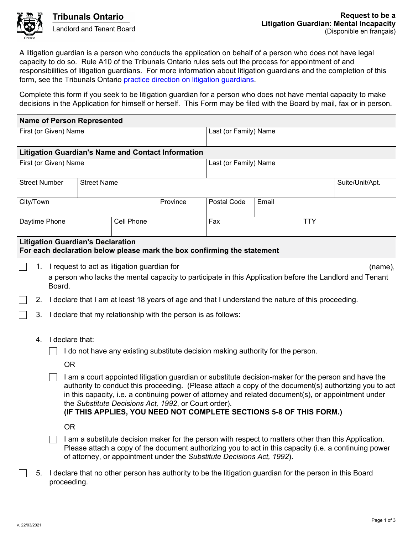

A litigation guardian is a person who conducts the application on behalf of a person who does not have legal capacity to do so. Rule A10 of the Tribunals Ontario rules sets out the process for appointment of and responsibilities of litigation guardians. For more information about litigation guardians and the completion of this form, see the Tribunals Ontario [practice direction on litigation guardians.](https://tribunalsontario.ca/documents/sjto/Practice%20Directions/Litigation%20Guardians%20before%20SJTO.html)

Complete this form if you seek to be litigation guardian for a person who does not have mental capacity to make decisions in the Application for himself or herself. This Form may be filed with the Board by mail, fax or in person.

|                       |                                                                                                                                                                                                                                                                                                                                                                                                                                                    |                                                                                                                        | <b>Name of Person Represented</b>        |            |                                                                         |                                                                                                                                                                                                               |       |            |                 |
|-----------------------|----------------------------------------------------------------------------------------------------------------------------------------------------------------------------------------------------------------------------------------------------------------------------------------------------------------------------------------------------------------------------------------------------------------------------------------------------|------------------------------------------------------------------------------------------------------------------------|------------------------------------------|------------|-------------------------------------------------------------------------|---------------------------------------------------------------------------------------------------------------------------------------------------------------------------------------------------------------|-------|------------|-----------------|
| First (or Given) Name |                                                                                                                                                                                                                                                                                                                                                                                                                                                    |                                                                                                                        |                                          |            |                                                                         | Last (or Family) Name                                                                                                                                                                                         |       |            |                 |
|                       |                                                                                                                                                                                                                                                                                                                                                                                                                                                    |                                                                                                                        |                                          |            | <b>Litigation Guardian's Name and Contact Information</b>               |                                                                                                                                                                                                               |       |            |                 |
| First (or Given) Name |                                                                                                                                                                                                                                                                                                                                                                                                                                                    |                                                                                                                        |                                          |            |                                                                         | Last (or Family) Name                                                                                                                                                                                         |       |            |                 |
| <b>Street Number</b>  |                                                                                                                                                                                                                                                                                                                                                                                                                                                    |                                                                                                                        | <b>Street Name</b>                       |            |                                                                         |                                                                                                                                                                                                               |       |            | Suite/Unit/Apt. |
| City/Town             |                                                                                                                                                                                                                                                                                                                                                                                                                                                    |                                                                                                                        |                                          |            | Province                                                                | Postal Code                                                                                                                                                                                                   | Email |            |                 |
| Daytime Phone         |                                                                                                                                                                                                                                                                                                                                                                                                                                                    |                                                                                                                        |                                          | Cell Phone |                                                                         | Fax                                                                                                                                                                                                           |       | <b>TTY</b> |                 |
|                       |                                                                                                                                                                                                                                                                                                                                                                                                                                                    |                                                                                                                        | <b>Litigation Guardian's Declaration</b> |            | For each declaration below please mark the box confirming the statement |                                                                                                                                                                                                               |       |            |                 |
|                       | 1.                                                                                                                                                                                                                                                                                                                                                                                                                                                 | I request to act as litigation guardian for                                                                            |                                          |            |                                                                         |                                                                                                                                                                                                               |       |            | (name),         |
|                       |                                                                                                                                                                                                                                                                                                                                                                                                                                                    | a person who lacks the mental capacity to participate in this Application before the Landlord and Tenant<br>Board.     |                                          |            |                                                                         |                                                                                                                                                                                                               |       |            |                 |
|                       | 2.                                                                                                                                                                                                                                                                                                                                                                                                                                                 | I declare that I am at least 18 years of age and that I understand the nature of this proceeding.                      |                                          |            |                                                                         |                                                                                                                                                                                                               |       |            |                 |
|                       | 3.                                                                                                                                                                                                                                                                                                                                                                                                                                                 | I declare that my relationship with the person is as follows:                                                          |                                          |            |                                                                         |                                                                                                                                                                                                               |       |            |                 |
|                       | 4.                                                                                                                                                                                                                                                                                                                                                                                                                                                 | I declare that:                                                                                                        |                                          |            |                                                                         |                                                                                                                                                                                                               |       |            |                 |
|                       |                                                                                                                                                                                                                                                                                                                                                                                                                                                    | I do not have any existing substitute decision making authority for the person.                                        |                                          |            |                                                                         |                                                                                                                                                                                                               |       |            |                 |
|                       |                                                                                                                                                                                                                                                                                                                                                                                                                                                    | <b>OR</b>                                                                                                              |                                          |            |                                                                         |                                                                                                                                                                                                               |       |            |                 |
|                       | I am a court appointed litigation guardian or substitute decision-maker for the person and have the<br>authority to conduct this proceeding. (Please attach a copy of the document(s) authorizing you to act<br>in this capacity, i.e. a continuing power of attorney and related document(s), or appointment under<br>the Substitute Decisions Act, 1992, or Court order).<br>(IF THIS APPLIES, YOU NEED NOT COMPLETE SECTIONS 5-8 OF THIS FORM.) |                                                                                                                        |                                          |            |                                                                         |                                                                                                                                                                                                               |       |            |                 |
|                       |                                                                                                                                                                                                                                                                                                                                                                                                                                                    | <b>OR</b>                                                                                                              |                                          |            |                                                                         |                                                                                                                                                                                                               |       |            |                 |
|                       | of attorney, or appointment under the Substitute Decisions Act, 1992).                                                                                                                                                                                                                                                                                                                                                                             |                                                                                                                        |                                          |            |                                                                         | I am a substitute decision maker for the person with respect to matters other than this Application.<br>Please attach a copy of the document authorizing you to act in this capacity (i.e. a continuing power |       |            |                 |
|                       | 5.                                                                                                                                                                                                                                                                                                                                                                                                                                                 | I declare that no other person has authority to be the litigation guardian for the person in this Board<br>proceeding. |                                          |            |                                                                         |                                                                                                                                                                                                               |       |            |                 |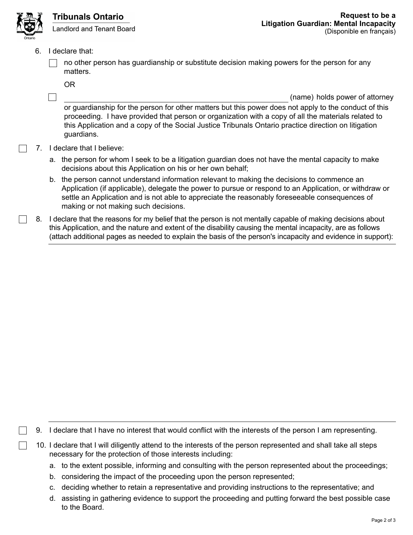

- 6. I declare that:
	- no other person has guardianship or substitute decision making powers for the person for any matters.

OR

(name) holds power of attorney

or guardianship for the person for other matters but this power does not apply to the conduct of this proceeding. I have provided that person or organization with a copy of all the materials related to this Application and a copy of the Social Justice Tribunals Ontario practice direction on litigation guardians.

- 7. I declare that I believe:
	- a. the person for whom I seek to be a litigation guardian does not have the mental capacity to make decisions about this Application on his or her own behalf;
	- b. the person cannot understand information relevant to making the decisions to commence an Application (if applicable), delegate the power to pursue or respond to an Application, or withdraw or settle an Application and is not able to appreciate the reasonably foreseeable consequences of making or not making such decisions.
- 8. I declare that the reasons for my belief that the person is not mentally capable of making decisions about this Application, and the nature and extent of the disability causing the mental incapacity, are as follows (attach additional pages as needed to explain the basis of the person's incapacity and evidence in support):

- 9. I declare that I have no interest that would conflict with the interests of the person I am representing.
- 10. I declare that I will diligently attend to the interests of the person represented and shall take all steps necessary for the protection of those interests including:
	- a. to the extent possible, informing and consulting with the person represented about the proceedings;
	- b. considering the impact of the proceeding upon the person represented;
	- c. deciding whether to retain a representative and providing instructions to the representative; and
	- d. assisting in gathering evidence to support the proceeding and putting forward the best possible case to the Board.